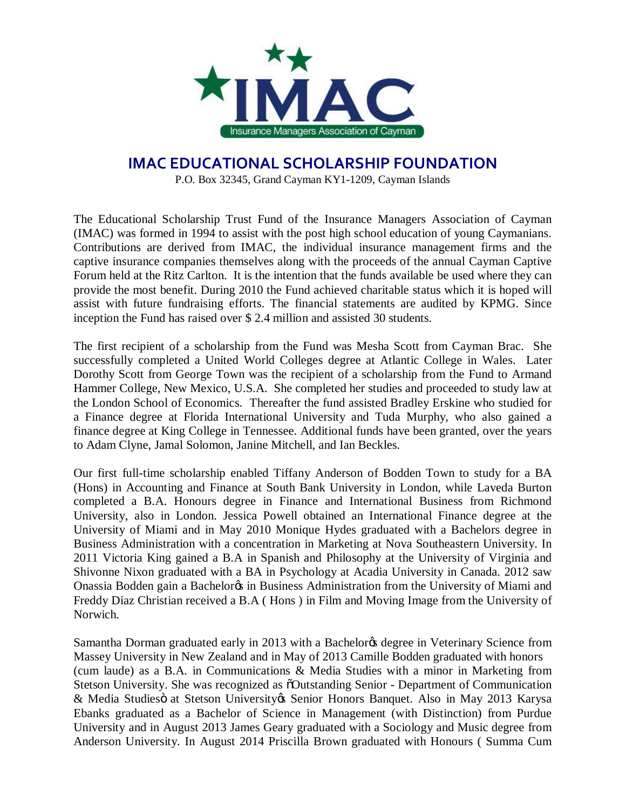

## **IMAC EDUCATIONAL SCHOLARSHIP FOUNDATION**

P.O. Box 32345, Grand Cayman KY1-1209, Cayman Islands

The Educational Scholarship Trust Fund of the Insurance Managers Association of Cayman (IMAC) was formed in 1994 to assist with the post high school education of young Caymanians. Contributions are derived from IMAC, the individual insurance management firms and the captive insurance companies themselves along with the proceeds of the annual Cayman Captive Forum held at the Ritz Carlton. It is the intention that the funds available be used where they can provide the most benefit. During 2010 the Fund achieved charitable status which it is hoped will assist with future fundraising efforts. The financial statements are audited by KPMG. Since inception the Fund has raised over \$ 2.4 million and assisted 30 students.

The first recipient of a scholarship from the Fund was Mesha Scott from Cayman Brac. She successfully completed a United World Colleges degree at Atlantic College in Wales. Later Dorothy Scott from George Town was the recipient of a scholarship from the Fund to Armand Hammer College, New Mexico, U.S.A. She completed her studies and proceeded to study law at the London School of Economics. Thereafter the fund assisted Bradley Erskine who studied for a Finance degree at Florida International University and Tuda Murphy, who also gained a finance degree at King College in Tennessee. Additional funds have been granted, over the years to Adam Clyne, Jamal Solomon, Janine Mitchell, and Ian Beckles.

Our first full-time scholarship enabled Tiffany Anderson of Bodden Town to study for a BA (Hons) in Accounting and Finance at South Bank University in London, while Laveda Burton completed a B.A. Honours degree in Finance and International Business from Richmond University, also in London. Jessica Powell obtained an International Finance degree at the University of Miami and in May 2010 Monique Hydes graduated with a Bachelors degree in Business Administration with a concentration in Marketing at Nova Southeastern University. In 2011 Victoria King gained a B.A in Spanish and Philosophy at the University of Virginia and Shivonne Nixon graduated with a BA in Psychology at Acadia University in Canada. 2012 saw Onassia Bodden gain a Bachelor in Business Administration from the University of Miami and Freddy Diaz Christian received a B.A ( Hons ) in Film and Moving Image from the University of Norwich.

Samantha Dorman graduated early in 2013 with a Bachelor ts degree in Veterinary Science from Massey University in New Zealand and in May of 2013 Camille Bodden graduated with honors (cum laude) as a B.A. in Communications & Media Studies with a minor in Marketing from Stetson University. She was recognized as  $\delta$ Outstanding Senior - Department of Communication & Media Studiesö at Stetson University & Senior Honors Banquet. Also in May 2013 Karysa Ebanks graduated as a Bachelor of Science in Management (with Distinction) from Purdue University and in August 2013 James Geary graduated with a Sociology and Music degree from Anderson University. In August 2014 Priscilla Brown graduated with Honours ( Summa Cum